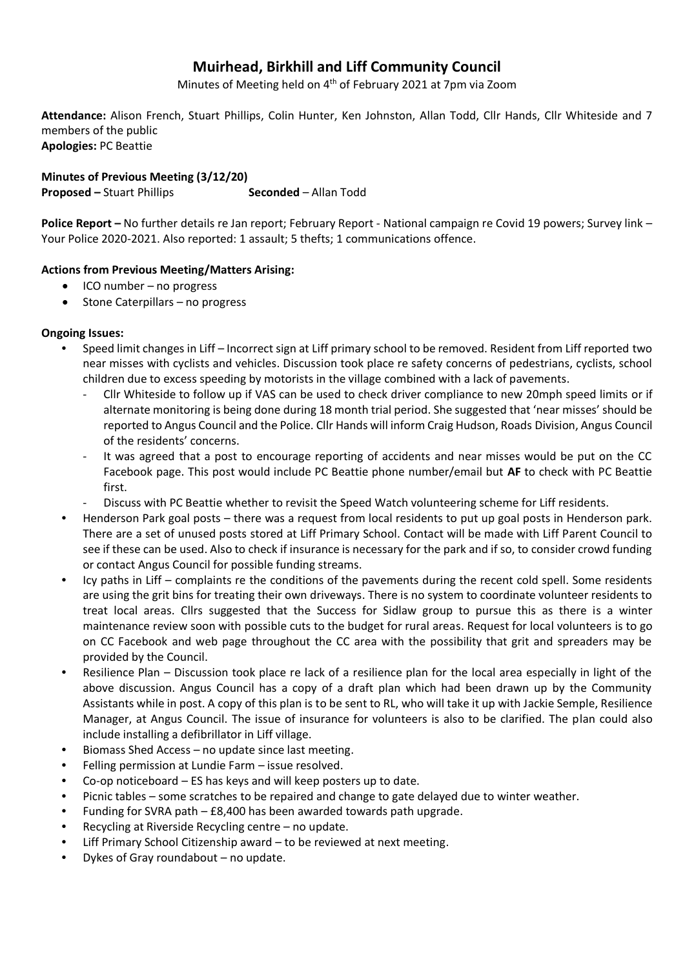# **Muirhead, Birkhill and Liff Community Council**

Minutes of Meeting held on 4<sup>th</sup> of February 2021 at 7pm via Zoom

**Attendance:** Alison French, Stuart Phillips, Colin Hunter, Ken Johnston, Allan Todd, Cllr Hands, Cllr Whiteside and 7 members of the public **Apologies:** PC Beattie

**Minutes of Previous Meeting (3/12/20) Proposed –** Stuart Phillips **Seconded** – Allan Todd

**Police Report –** No further details re Jan report; February Report - National campaign re Covid 19 powers; Survey link – Your Police 2020-2021. Also reported: 1 assault; 5 thefts; 1 communications offence.

## **Actions from Previous Meeting/Matters Arising:**

- $\bullet$  ICO number no progress
- $\bullet$  Stone Caterpillars no progress

#### **Ongoing Issues:**

- Speed limit changes in Liff Incorrect sign at Liff primary school to be removed. Resident from Liff reported two near misses with cyclists and vehicles. Discussion took place re safety concerns of pedestrians, cyclists, school children due to excess speeding by motorists in the village combined with a lack of pavements.
	- Cllr Whiteside to follow up if VAS can be used to check driver compliance to new 20mph speed limits or if alternate monitoring is being done during 18 month trial period. She suggested that 'near misses' should be reported to Angus Council and the Police. Cllr Hands will inform Craig Hudson, Roads Division, Angus Council of the residents' concerns.
	- It was agreed that a post to encourage reporting of accidents and near misses would be put on the CC Facebook page. This post would include PC Beattie phone number/email but **AF** to check with PC Beattie first.
	- Discuss with PC Beattie whether to revisit the Speed Watch volunteering scheme for Liff residents.
- Henderson Park goal posts there was a request from local residents to put up goal posts in Henderson park. There are a set of unused posts stored at Liff Primary School. Contact will be made with Liff Parent Council to see if these can be used. Also to check if insurance is necessary for the park and if so, to consider crowd funding or contact Angus Council for possible funding streams.
- Icy paths in Liff complaints re the conditions of the pavements during the recent cold spell. Some residents are using the grit bins for treating their own driveways. There is no system to coordinate volunteer residents to treat local areas. Cllrs suggested that the Success for Sidlaw group to pursue this as there is a winter maintenance review soon with possible cuts to the budget for rural areas. Request for local volunteers is to go on CC Facebook and web page throughout the CC area with the possibility that grit and spreaders may be provided by the Council.
- Resilience Plan Discussion took place re lack of a resilience plan for the local area especially in light of the above discussion. Angus Council has a copy of a draft plan which had been drawn up by the Community Assistants while in post. A copy of this plan is to be sent to RL, who will take it up with Jackie Semple, Resilience Manager, at Angus Council. The issue of insurance for volunteers is also to be clarified. The plan could also include installing a defibrillator in Liff village.
- Biomass Shed Access no update since last meeting.
- Felling permission at Lundie Farm issue resolved.
- Co-op noticeboard ES has keys and will keep posters up to date.
- Picnic tables some scratches to be repaired and change to gate delayed due to winter weather.
- Funding for SVRA path  $-$  £8,400 has been awarded towards path upgrade.
- Recycling at Riverside Recycling centre no update.
- Liff Primary School Citizenship award to be reviewed at next meeting.
- Dykes of Gray roundabout no update.